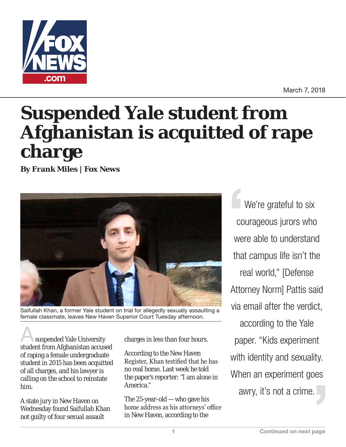

March 7, 2018

## **Suspended Yale student from Afghanistan is acquitted of rape charge**

**By Frank Miles | Fox News**



Saifullah Khan, a former Yale student on trial for allegedly sexually assaulting a female classmate, leaves New Haven Superior Court Tuesday afternoon.

suspended Yale University student from Afghanistan accused of raping a female undergraduate student in 2015 has been acquitted of all charges, and his lawyer is calling on the school to reinstate him.

A state jury in New Haven on Wednesday found Saifullah Khan not guilty of four sexual assault

charges in less than four hours.

According to the New Haven Register, Khan testified that he has no real home. Last week he told the paper's reporter: "I am alone in America."

The 25-year-old — who gave his home address as his attorneys' office in New Haven, according to the

We're grateful to six courageous jurors who were able to understand that campus life isn't the real world," [Defense Attorney Norm] Pattis said via email after the verdict, according to the Yale paper. "Kids experiment with identity and sexuality. When an experiment goes awry, it's not a crime.